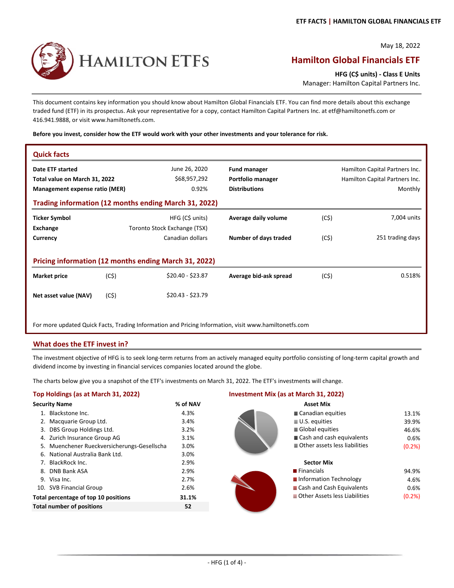May 18, 2022

# **HAMILTON ETFS**

## **Hamilton Global Financials ETF**

**HFG (C\$ units) ‐ Class E Units**

Manager: Hamilton Capital Partners Inc.

This document contains key information you should know about Hamilton Global Financials ETF. You can find more details about this exchange traded fund (ETF) in its prospectus. Ask your representative for a copy, contact Hamilton Capital Partners Inc. at etf@hamiltonetfs.com or 416.941.9888, or visit www.hamiltonetfs.com.

#### **Before you invest, consider how the ETF would work with your other investments and your tolerance for risk.**

| <b>Quick facts</b>             |      |                                                                                                       |                        |                                |                  |  |  |  |  |  |
|--------------------------------|------|-------------------------------------------------------------------------------------------------------|------------------------|--------------------------------|------------------|--|--|--|--|--|
| Date ETF started               |      | June 26, 2020                                                                                         | <b>Fund manager</b>    | Hamilton Capital Partners Inc. |                  |  |  |  |  |  |
| Total value on March 31, 2022  |      | \$68,957,292                                                                                          | Portfolio manager      | Hamilton Capital Partners Inc. |                  |  |  |  |  |  |
| Management expense ratio (MER) |      | 0.92%                                                                                                 | <b>Distributions</b>   |                                | Monthly          |  |  |  |  |  |
|                                |      | Trading information (12 months ending March 31, 2022)                                                 |                        |                                |                  |  |  |  |  |  |
| <b>Ticker Symbol</b>           |      | HFG (C\$ units)                                                                                       | Average daily volume   | (C5)                           | 7,004 units      |  |  |  |  |  |
| Exchange                       |      | Toronto Stock Exchange (TSX)                                                                          |                        |                                |                  |  |  |  |  |  |
| Currency                       |      | Canadian dollars                                                                                      | Number of days traded  | (C5)                           | 251 trading days |  |  |  |  |  |
|                                |      |                                                                                                       |                        |                                |                  |  |  |  |  |  |
|                                |      | Pricing information (12 months ending March 31, 2022)                                                 |                        |                                |                  |  |  |  |  |  |
| <b>Market price</b>            | (C5) | \$20.40 - \$23.87                                                                                     | Average bid-ask spread | (C5)                           | 0.518%           |  |  |  |  |  |
| Net asset value (NAV)          | (C5) | $$20.43 - $23.79$                                                                                     |                        |                                |                  |  |  |  |  |  |
|                                |      | For more updated Quick Facts, Trading Information and Pricing Information, visit www.hamiltonetfs.com |                        |                                |                  |  |  |  |  |  |

#### **What does the ETF invest in?**

The investment objective of HFG is to seek long-term returns from an actively managed equity portfolio consisting of long-term capital growth and dividend income by investing in financial services companies located around the globe.

The charts below give you a snapshot of the ETF's investments on March 31, 2022. The ETF's investments will change.

| % of NAV                                                                                                                                                                                                                                                                                                                                                                             | <b>Asset Mix</b>             |
|--------------------------------------------------------------------------------------------------------------------------------------------------------------------------------------------------------------------------------------------------------------------------------------------------------------------------------------------------------------------------------------|------------------------------|
| 4.3%                                                                                                                                                                                                                                                                                                                                                                                 | Canadian equ                 |
| 3.4%                                                                                                                                                                                                                                                                                                                                                                                 | $\blacksquare$ U.S. equities |
| 3.2%                                                                                                                                                                                                                                                                                                                                                                                 | Global equiti                |
| 3.1%                                                                                                                                                                                                                                                                                                                                                                                 | ■ Cash and cas               |
| 3.0%                                                                                                                                                                                                                                                                                                                                                                                 | Other assets                 |
| 3.0%                                                                                                                                                                                                                                                                                                                                                                                 |                              |
| 2.9%                                                                                                                                                                                                                                                                                                                                                                                 | <b>Sector Mix</b>            |
| 2.9%                                                                                                                                                                                                                                                                                                                                                                                 | $\blacksquare$ Financials    |
| 2.7%                                                                                                                                                                                                                                                                                                                                                                                 | Information 1                |
| 2.6%                                                                                                                                                                                                                                                                                                                                                                                 | <b>Cash and Cas</b>          |
| 31.1%                                                                                                                                                                                                                                                                                                                                                                                | Other Assets                 |
| 52                                                                                                                                                                                                                                                                                                                                                                                   |                              |
| <b>Security Name</b><br>1. Blackstone Inc.<br>2. Macquarie Group Ltd.<br>3. DBS Group Holdings Ltd.<br>4. Zurich Insurance Group AG<br>5. Muenchener Rueckversicherungs-Gesellscha<br>6. National Australia Bank Ltd.<br>7. BlackRock Inc.<br>8. DNB Bank ASA<br>9. Visa Inc.<br>10. SVB Financial Group<br>Total percentage of top 10 positions<br><b>Total number of positions</b> |                              |

#### **Top Holdings (as at March 31, 2022) Investment Mix (as at March 31, 2022)**

| <b>Security Name</b>                        | % of NAV | <b>Asset Mix</b>              |
|---------------------------------------------|----------|-------------------------------|
| 1. Blackstone Inc.                          | 4.3%     | Canadian equities             |
| 2. Macquarie Group Ltd.                     | 3.4%     | U.S. equities                 |
| 3. DBS Group Holdings Ltd.                  | 3.2%     | Global equities               |
| 4. Zurich Insurance Group AG                | 3.1%     | Cash and cash equivalents     |
| 5. Muenchener Rueckversicherungs-Gesellscha | 3.0%     | Other assets less liabilities |
| 6. National Australia Bank Ltd.             | 3.0%     |                               |
| 7. BlackRock Inc.                           | 2.9%     | <b>Sector Mix</b>             |
| 8. DNB Bank ASA                             | 2.9%     | <b>Financials</b>             |
| 9. Visa Inc.                                | 2.7%     | Information Technology        |
| 10. SVB Financial Group                     | 2.6%     | Cash and Cash Equivalents     |
| Total percentage of top 10 positions        | 31.1%    | Other Assets less Liabilities |
| <b>Total number of positions</b>            | 52       |                               |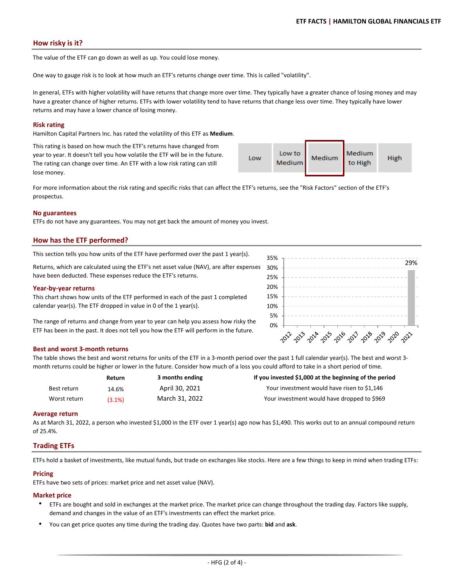#### **How risky is it?**

The value of the ETF can go down as well as up. You could lose money.

One way to gauge risk is to look at how much an ETF's returns change over time. This is called "volatility".

In general, ETFs with higher volatility will have returns that change more over time. They typically have a greater chance of losing money and may have a greater chance of higher returns. ETFs with lower volatility tend to have returns that change less over time. They typically have lower returns and may have a lower chance of losing money.

#### **Risk rating**

Hamilton Capital Partners Inc. has rated the volatility of this ETF as **Medium**.

This rating is based on how much the ETF's returns have changed from year to year. It doesn't tell you how volatile the ETF will be in the future. The rating can change over time. An ETF with a low risk rating can still lose money.

Medium Low to Low Medium **High** Medium to High

For more information about the risk rating and specific risks that can affect the ETF's returns, see the "Risk Factors" section of the ETF's prospectus.

#### **No guarantees**

ETFs do not have any guarantees. You may not get back the amount of money you invest.

#### **How has the ETF performed?**

This section tells you how units of the ETF have performed over the past 1 year(s).

Returns, which are calculated using the ETF's net asset value (NAV), are after expenses have been deducted. These expenses reduce the ETF's returns.

#### **Year‐by‐year returns**

This chart shows how units of the ETF performed in each of the past 1 completed calendar year(s). The ETF dropped in value in 0 of the 1 year(s).

The range of returns and change from year to year can help you assess how risky the ETF has been in the past. It does not tell you how the ETF will perform in the future.

#### **Best and worst 3‐month returns**

The table shows the best and worst returns for units of the ETF in a 3-month period over the past 1 full calendar year(s). The best and worst 3month returns could be higher or lower in the future. Consider how much of a loss you could afford to take in a short period of time.

|              | Return    | 3 months ending | If you invested \$1,000 at the beginning of the period |
|--------------|-----------|-----------------|--------------------------------------------------------|
| Best return  | 14.6%     | April 30, 2021  | Your investment would have risen to \$1,146            |
| Worst return | $(3.1\%)$ | March 31, 2022  | Your investment would have dropped to \$969            |

#### **Average return**

As at March 31, 2022, a person who invested \$1,000 in the ETF over 1 year(s) ago now has \$1,490. This works out to an annual compound return of 25.4%.

#### **Trading ETFs**

ETFs hold a basket of investments, like mutual funds, but trade on exchanges like stocks. Here are a few things to keep in mind when trading ETFs:

#### **Pricing**

ETFs have two sets of prices: market price and net asset value (NAV).

#### **Market price**

- ETFs are bought and sold in exchanges at the market price. The market price can change throughout the trading day. Factors like supply, demand and changes in the value of an ETF's investments can effect the market price.
- $\bullet$ You can get price quotes any time during the trading day. Quotes have two parts: **bid** and **ask**.

| 35% |                                           |      |  |  |      |  |                      |  |  |  |  |                |  |      |  |      |  |  | 29%  |  |
|-----|-------------------------------------------|------|--|--|------|--|----------------------|--|--|--|--|----------------|--|------|--|------|--|--|------|--|
| 30% |                                           |      |  |  |      |  |                      |  |  |  |  |                |  |      |  |      |  |  |      |  |
| 25% |                                           |      |  |  |      |  |                      |  |  |  |  |                |  |      |  |      |  |  |      |  |
| 20% |                                           |      |  |  |      |  |                      |  |  |  |  |                |  |      |  |      |  |  |      |  |
| 15% |                                           |      |  |  |      |  |                      |  |  |  |  |                |  |      |  |      |  |  |      |  |
| 10% |                                           |      |  |  |      |  |                      |  |  |  |  |                |  |      |  |      |  |  |      |  |
| 5%  |                                           |      |  |  |      |  |                      |  |  |  |  |                |  |      |  |      |  |  |      |  |
| 0%  |                                           |      |  |  |      |  |                      |  |  |  |  |                |  |      |  |      |  |  |      |  |
|     | $\gamma$ <sup><math>\Diamond</math></sup> | 2013 |  |  | 2014 |  | $\cdot$ $2^{2^{25}}$ |  |  |  |  | 2016 2017 2018 |  | 2019 |  | 2020 |  |  | 2021 |  |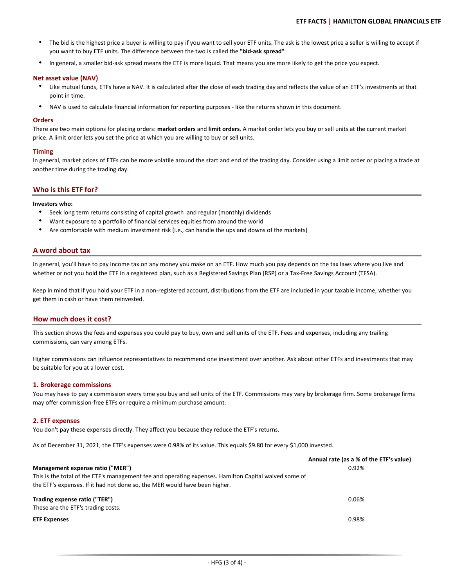- $\bullet$ The bid is the highest price a buyer is willing to pay if you want to sell your ETF units. The ask is the lowest price a seller is willing to accept if you want to buy ETF units. The difference between the two is called the "**bid‐ask spread**".
- $\bullet$ In general, a smaller bid‐ask spread means the ETF is more liquid. That means you are more likely to get the price you expect.

#### **Net asset value (NAV)**

- Like mutual funds, ETFs have a NAV. It is calculated after the close of each trading day and reflects the value of an ETF's investments at that point in time.
- $\bullet$ NAV is used to calculate financial information for reporting purposes ‐ like the returns shown in this document.

#### **Orders**

There are two main options for placing orders: **market orders** and **limit orders**. A market order lets you buy or sell units at the current market price. A limit order lets you set the price at which you are willing to buy or sell units.

#### **Timing**

In general, market prices of ETFs can be more volatile around the start and end of the trading day. Consider using a limit order or placing a trade at another time during the trading day.

#### **Who is this ETF for?**

#### **Investors who:**

- Seek long term returns consisting of capital growth and regular (monthly) dividends
- $\bullet$ Want exposure to a portfolio of financial services equities from around the world
- $\bullet$ Are comfortable with medium investment risk (i.e., can handle the ups and downs of the markets)

#### **A word about tax**

In general, you'll have to pay income tax on any money you make on an ETF. How much you pay depends on the tax laws where you live and whether or not you hold the ETF in a registered plan, such as a Registered Savings Plan (RSP) or a Tax-Free Savings Account (TFSA).

Keep in mind that if you hold your ETF in a non-registered account, distributions from the ETF are included in your taxable income, whether you get them in cash or have them reinvested.

#### **How much does it cost?**

This section shows the fees and expenses you could pay to buy, own and sell units of the ETF. Fees and expenses, including any trailing commissions, can vary among ETFs.

Higher commissions can influence representatives to recommend one investment over another. Ask about other ETFs and investments that may be suitable for you at a lower cost.

#### **1. Brokerage commissions**

You may have to pay a commission every time you buy and sell units of the ETF. Commissions may vary by brokerage firm. Some brokerage firms may offer commission‐free ETFs or require a minimum purchase amount.

#### **2. ETF expenses**

You don't pay these expenses directly. They affect you because they reduce the ETF's returns.

As of December 31, 2021, the ETF's expenses were 0.98% of its value. This equals \$9.80 for every \$1,000 invested.

|                                                                                                       | Annual rate (as a % of the ETF's value) |
|-------------------------------------------------------------------------------------------------------|-----------------------------------------|
| Management expense ratio ("MER")                                                                      | 0.92%                                   |
| This is the total of the ETF's management fee and operating expenses. Hamilton Capital waived some of |                                         |
| the ETF's expenses. If it had not done so, the MER would have been higher.                            |                                         |
| Trading expense ratio ("TER")                                                                         | 0.06%                                   |
| These are the ETF's trading costs.                                                                    |                                         |
| <b>ETF Expenses</b>                                                                                   | 0.98%                                   |